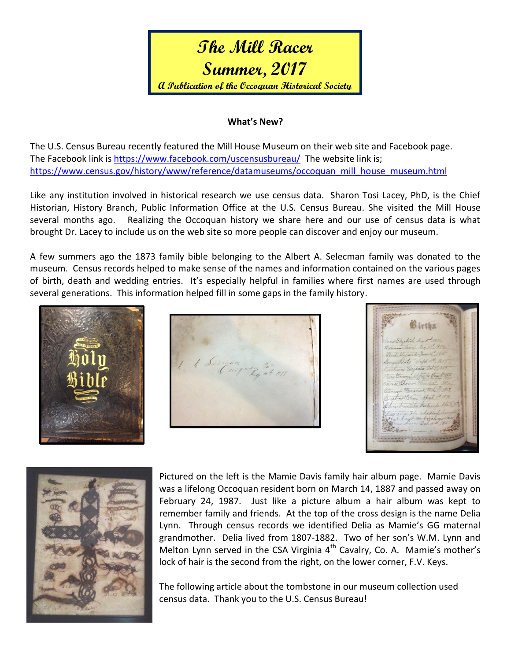# **The Mill Racer Summer, 2017 A Publication of the Occoquan Historical Society**

#### **What's New?**

The U.S. Census Bureau recently featured the Mill House Museum on their web site and Facebook page. The Facebook link is<https://www.facebook.com/uscensusbureau/>The website link is; [https://www.census.gov/history/www/reference/datamuseums/occoquan\\_mill\\_house\\_museum.html](https://www.census.gov/history/www/reference/datamuseums/occoquan_mill_house_museum.html)

Like any institution involved in historical research we use census data. Sharon Tosi Lacey, PhD, is the Chief Historian, History Branch, Public Information Office at the U.S. Census Bureau. She visited the Mill House several months ago. Realizing the Occoquan history we share here and our use of census data is what brought Dr. Lacey to include us on the web site so more people can discover and enjoy our museum.

A few summers ago the 1873 family bible belonging to the Albert A. Selecman family was donated to the museum. Census records helped to make sense of the names and information contained on the various pages of birth, death and wedding entries. It's especially helpful in families where first names are used through several generations. This information helped fill in some gaps in the family history.





 $\mathfrak{B}$  irth



Pictured on the left is the Mamie Davis family hair album page. Mamie Davis was a lifelong Occoquan resident born on March 14, 1887 and passed away on February 24, 1987. Just like a picture album a hair album was kept to remember family and friends. At the top of the cross design is the name Delia Lynn. Through census records we identified Delia as Mamie's GG maternal grandmother. Delia lived from 1807-1882. Two of her son's W.M. Lynn and Melton Lynn served in the CSA Virginia  $4<sup>th</sup>$  Cavalry, Co. A. Mamie's mother's lock of hair is the second from the right, on the lower corner, F.V. Keys.

The following article about the tombstone in our museum collection used census data. Thank you to the U.S. Census Bureau!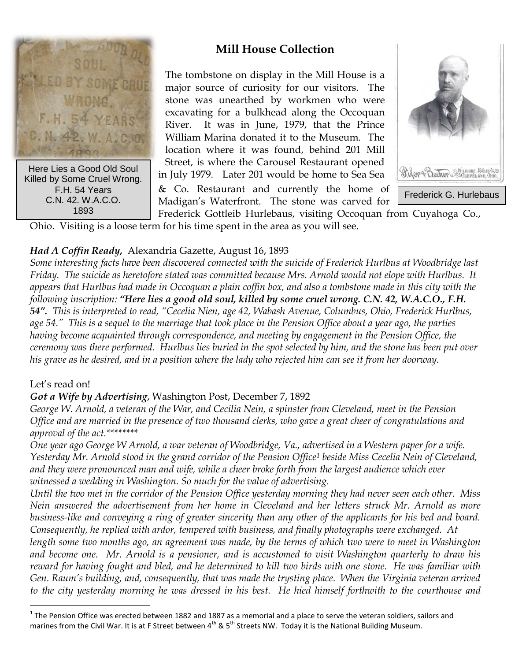

Here Lies a Good Old Soul Killed by Some Cruel Wrong. F.H. 54 Years C.N. 42. W.A.C.O. 1893

## **Mill House Collection**

The tombstone on display in the Mill House is a major source of curiosity for our visitors. The stone was unearthed by workmen who were excavating for a bulkhead along the Occoquan River. It was in June, 1979, that the Prince William Marina donated it to the Museum. The location where it was found, behind 201 Mill Street, is where the Carousel Restaurant opened in July 1979. Later 201 would be home to Sea Sea



& Co. Restaurant and currently the home of Madigan's Waterfront. The stone was carved for

Frederick Gottleib Hurlebaus, visiting Occoquan from Cuyahoga Co., Ohio. Visiting is a loose term for his time spent in the area as you will see.

### *Had A Coffin Ready,* Alexandria Gazette, August 16, 1893

*Some interesting facts have been discovered connected with the suicide of Frederick Hurlbus at Woodbridge last Friday. The suicide as heretofore stated was committed because Mrs. Arnold would not elope with Hurlbus. It appears that Hurlbus had made in Occoquan a plain coffin box, and also a tombstone made in this city with the following inscription: "Here lies a good old soul, killed by some cruel wrong. C.N. 42, W.A.C.O., F.H. 54". This is interpreted to read, "Cecelia Nien, age 42, Wabash Avenue, Columbus, Ohio, Frederick Hurlbus, age 54." This is a sequel to the marriage that took place in the Pension Office about a year ago, the parties having become acquainted through correspondence, and meeting by engagement in the Pension Office, the ceremony was there performed. Hurlbus lies buried in the spot selected by him, and the stone has been put over his grave as he desired, and in a position where the lady who rejected him can see it from her doorway.*

#### Let's read on!

 $\overline{a}$ 

#### *Got a Wife by Advertising*, Washington Post, December 7, 1892

*George W. Arnold, a veteran of the War, and Cecilia Nein, a spinster from Cleveland, meet in the Pension Office and are married in the presence of two thousand clerks, who gave a great cheer of congratulations and approval of the act.\*\*\*\*\*\*\*\**

*One year ago George W Arnold, a war veteran of Woodbridge, Va., advertised in a Western paper for a wife. Yesterday Mr. Arnold stood in the grand corridor of the Pension Office<sup>1</sup> beside Miss Cecelia Nein of Cleveland, and they were pronounced man and wife, while a cheer broke forth from the largest audience which ever witnessed a wedding in Washington. So much for the value of advertising.*

*Until the two met in the corridor of the Pension Office yesterday morning they had never seen each other. Miss Nein answered the advertisement from her home in Cleveland and her letters struck Mr. Arnold as more business-like and conveying a ring of greater sincerity than any other of the applicants for his bed and board. Consequently, he replied with ardor, tempered with business, and finally photographs were exchanged. At* 

*length some two months ago, an agreement was made, by the terms of which* t*wo were to meet in Washington and become one. Mr. Arnold is a pensioner, and is accustomed to visit Washington quarterly to draw his reward for having fought and bled, and he determined to kill two birds with one stone. He was familiar with Gen. Raum's building, and, consequently, that was made the trysting place. When the Virginia veteran arrived to the city yesterday morning he was dressed in his best. He hied himself forthwith to the courthouse and* 

 $^1$  The Pension Office was erected between 1882 and 1887 as a memorial and a place to serve the veteran soldiers, sailors and marines from the Civil War. It is at F Street between  $4^{th}$  & 5<sup>th</sup> Streets NW. Today it is the National Building Museum.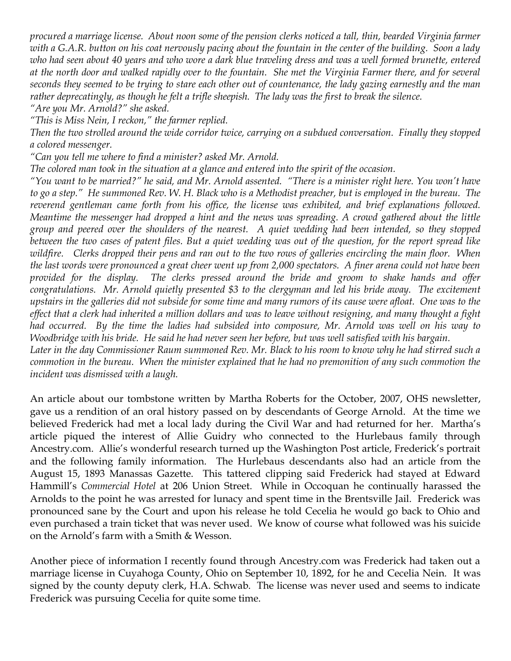*procured a marriage license. About noon some of the pension clerks noticed a tall, thin, bearded Virginia farmer with a G.A.R. button on his coat nervously pacing about the fountain in the center of the building. Soon a lady who had seen about 40 years and who wore a dark blue traveling dress and was a well formed brunette, entered at the north door and walked rapidly over to the fountain. She met the Virginia Farmer there, and for several seconds they seemed to be trying to stare each other out of countenance, the lady gazing earnestly and the man rather deprecatingly, as though he felt a trifle sheepish. The lady was the first to break the silence.*

*"Are you Mr. Arnold?" she asked.*

*"This is Miss Nein, I reckon," the farmer replied.*

*Then the two strolled around the wide corridor twice, carrying on a subdued conversation. Finally they stopped a colored messenger.*

*"Can you tell me where to find a minister? asked Mr. Arnold.*

*The colored man took in the situation at a glance and entered into the spirit of the occasion.*

*"You want to be married?" he said, and Mr. Arnold assented. "There is a minister right here. You won't have to go a step." He summoned Rev. W. H. Black who is a Methodist preacher, but is employed in the bureau. The reverend gentleman came forth from his office, the license was exhibited, and brief explanations followed. Meantime the messenger had dropped a hint and the news was spreading. A crowd gathered about the little group and peered over the shoulders of the nearest. A quiet wedding had been intended, so they stopped between the two cases of patent files. But a quiet wedding was out of the question, for the report spread like wildfire. Clerks dropped their pens and ran out to the two rows of galleries encircling the main floor. When the last words were pronounced a great cheer went up from 2,000 spectators. A finer arena could not have been provided for the display. The clerks pressed around the bride and groom to shake hands and offer congratulations. Mr. Arnold quietly presented \$3 to the clergyman and led his bride away. The excitement upstairs in the galleries did not subside for some time and many rumors of its cause were afloat. One was to the effect that a clerk had inherited a million dollars and was to leave without resigning, and many thought a fight had occurred. By the time the ladies had subsided into composure, Mr. Arnold was well on his way to Woodbridge with his bride. He said he had never seen her before, but was well satisfied with his bargain.*

*Later in the day Commissioner Raum summoned Rev. Mr. Black to his room to know why he had stirred such a commotion in the bureau. When the minister explained that he had no premonition of any such commotion the incident was dismissed with a laugh.*

An article about our tombstone written by Martha Roberts for the October, 2007, OHS newsletter, gave us a rendition of an oral history passed on by descendants of George Arnold. At the time we believed Frederick had met a local lady during the Civil War and had returned for her. Martha's article piqued the interest of Allie Guidry who connected to the Hurlebaus family through Ancestry.com. Allie's wonderful research turned up the Washington Post article, Frederick's portrait and the following family information. The Hurlebaus descendants also had an article from the August 15, 1893 Manassas Gazette. This tattered clipping said Frederick had stayed at Edward Hammill's *Commercial Hotel* at 206 Union Street. While in Occoquan he continually harassed the Arnolds to the point he was arrested for lunacy and spent time in the Brentsville Jail. Frederick was pronounced sane by the Court and upon his release he told Cecelia he would go back to Ohio and even purchased a train ticket that was never used. We know of course what followed was his suicide on the Arnold's farm with a Smith & Wesson.

Another piece of information I recently found through Ancestry.com was Frederick had taken out a marriage license in Cuyahoga County, Ohio on September 10, 1892, for he and Cecelia Nein. It was signed by the county deputy clerk, H.A. Schwab. The license was never used and seems to indicate Frederick was pursuing Cecelia for quite some time.